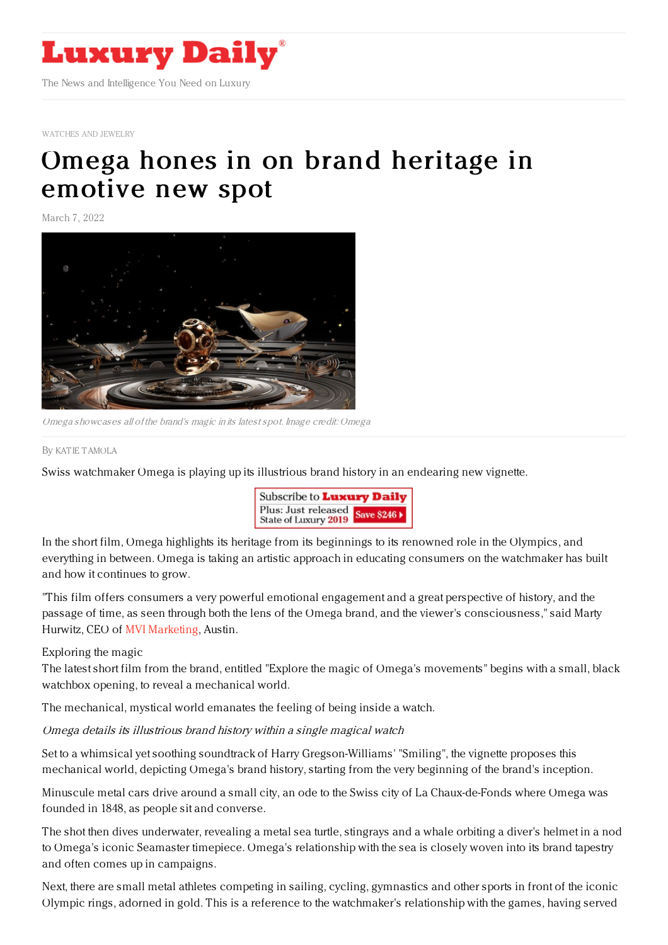

[WATCHES](https://www.luxurydaily.com/category/sectors/jewelry/) AND JEWELRY

## Omega hones in on brand [heritage](https://www.luxurydaily.com/omega-hones-in-on-brand-heritage-in-emotive-new-spot/) in emotive new spot

March 7, 2022



Omega showcases all of the brand's magic in its latest spot. Image credit: Omega

By KAT IE [TAMOLA](file:///author/katie-tamola)

Swiss watchmaker Omega is playing up its illustrious brand history in an endearing new vignette.



In the short film, Omega highlights its heritage from its beginnings to its renowned role in the Olympics, and everything in between. Omega is taking an artistic approach in educating consumers on the watchmaker has built and how it continues to grow.

"This film offers consumers a very powerful emotional engagement and a great perspective of history, and the passage of time, as seen through both the lens of the Omega brand, and the viewer's consciousness," said Marty Hurwitz, CEO of MVI [Marketing](https://www.themveye.com/), Austin.

Exploring the magic

The latest short film from the brand, entitled "Explore the magic of Omega's movements" begins with a small, black watchbox opening, to reveal a mechanical world.

The mechanical, mystical world emanates the feeling of being inside a watch.

## Omega details its illustrious brand history within <sup>a</sup> single magical watch

Set to a whimsical yet soothing soundtrack of Harry Gregson-Williams' "Smiling", the vignette proposes this mechanical world, depicting Omega's brand history, starting from the very beginning of the brand's inception.

Minuscule metal cars drive around a small city, an ode to the Swiss city of La Chaux-de-Fonds where Omega was founded in 1848, as people sit and converse.

The shot then dives underwater, revealing a metal sea turtle, stingrays and a whale orbiting a diver's helmet in a nod to Omega's iconic Seamaster timepiece. Omega's relationship with the sea is closely woven into its brand tapestry and often comes up in campaigns.

Next, there are small metal athletes competing in sailing, cycling, gymnastics and other sports in front of the iconic Olympic rings, adorned in gold. This is a reference to the watchmaker's relationship with the games, having served